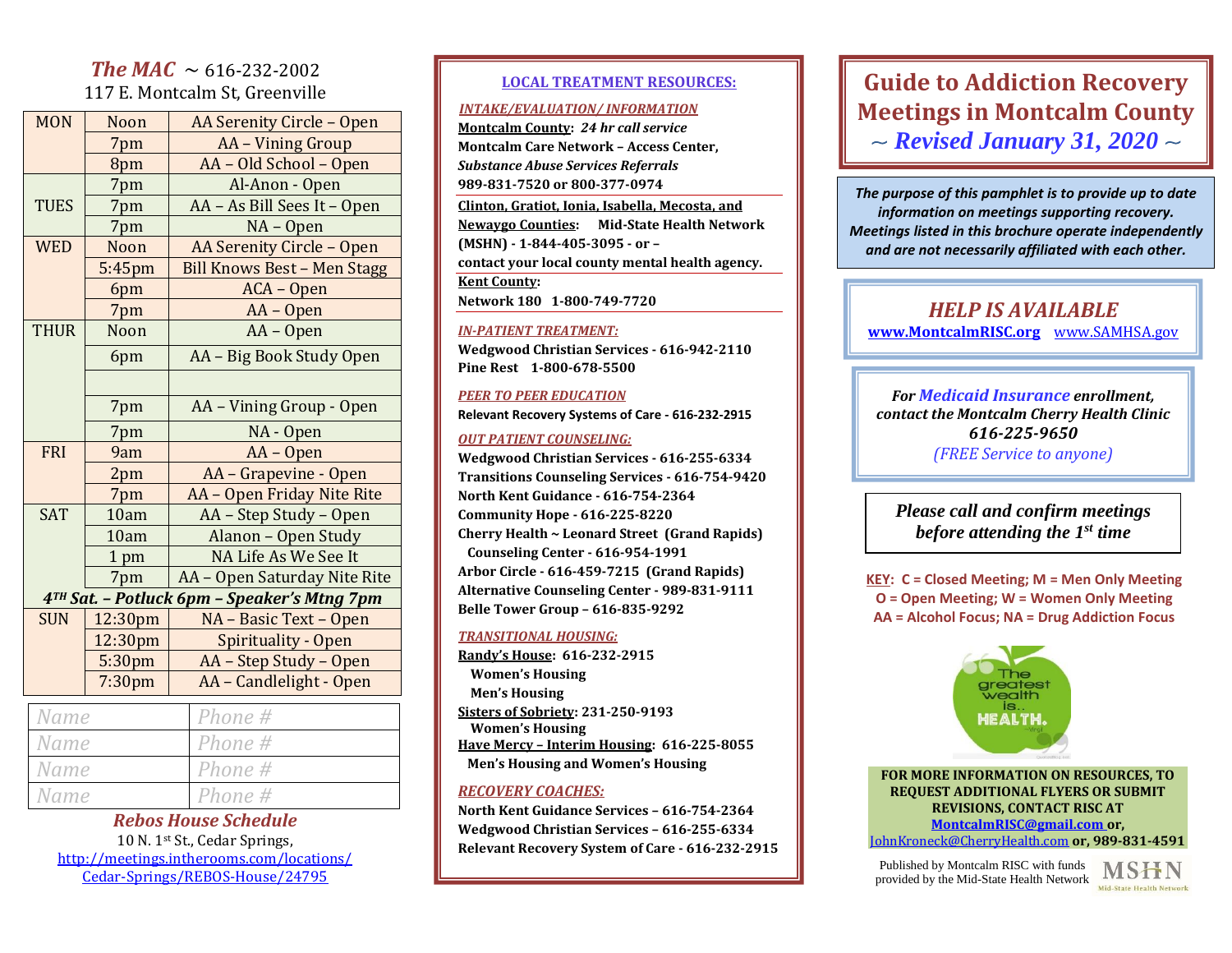# *The MAC*  $\sim$  616-232-2002 117 E. Montcalm St, Greenville

| <b>MON</b>                                  | Noon            | AA Serenity Circle - Open          |
|---------------------------------------------|-----------------|------------------------------------|
|                                             | 7pm             | AA - Vining Group                  |
|                                             | 8pm             | AA - Old School - Open             |
|                                             | 7pm             | Al-Anon - Open                     |
| <b>TUES</b>                                 | 7pm             | AA - As Bill Sees It - Open        |
|                                             | 7pm             | $NA - Open$                        |
| <b>WED</b>                                  | Noon            | AA Serenity Circle - Open          |
|                                             | 5:45pm          | <b>Bill Knows Best - Men Stagg</b> |
|                                             | 6pm             | ACA - Open                         |
|                                             | 7pm             | AA - Open                          |
| <b>THUR</b>                                 | Noon            | AA - Open                          |
|                                             | 6pm             | AA - Big Book Study Open           |
|                                             |                 |                                    |
|                                             | 7pm             | AA - Vining Group - Open           |
|                                             | 7pm             | NA - Open                          |
| <b>FRI</b>                                  | 9am             | AA - Open                          |
|                                             | 2pm             | AA - Grapevine - Open              |
|                                             | 7pm             | AA - Open Friday Nite Rite         |
| <b>SAT</b>                                  | 10am            | AA - Step Study - Open             |
|                                             | 10am            | Alanon - Open Study                |
|                                             | 1 <sub>pm</sub> | NA Life As We See It               |
|                                             | 7pm             | AA - Open Saturday Nite Rite       |
| 4TH Sat. - Potluck 6pm - Speaker's Mtng 7pm |                 |                                    |
| <b>SUN</b>                                  | 12:30pm         | NA - Basic Text - Open             |
|                                             | 12:30pm         | Spirituality - Open                |
|                                             | 5:30pm          | AA - Step Study - Open             |
|                                             | 7:30pm          | AA - Candlelight - Open            |
| Name                                        |                 | Phone #                            |
| Name                                        |                 | Phone #                            |
| Name                                        |                 | Phone #                            |

*Rebos House Schedule*  10 N. 1st St., Cedar Springs, [http://meetings.intherooms.com/locations/](http://meetings.intherooms.com/locations/Cedar-Springs/REBOS-House/24795) [Cedar-Springs/REBOS-House/24795](http://meetings.intherooms.com/locations/Cedar-Springs/REBOS-House/24795)

*Name Phone #*

#### **LOCAL TREATMENT RESOURCES:**

#### *INTAKE/EVALUATION/ INFORMATION*

**Montcalm County:** *24 hr call service* **Montcalm Care Network – Access Center,**  *Substance Abuse Services Referrals* **989-831-7520 or 800-377-0974 Clinton, Gratiot, Ionia, Isabella, Mecosta, and Newaygo Counties: Mid-State Health Network (MSHN) - 1-844-405-3095 - or – contact your local county mental health agency. Kent County: Network 180 1-800-749-7720**

#### *IN-PATIENT TREATMENT:*

**Wedgwood Christian Services - 616-942-2110 Pine Rest 1-800-678-5500**

#### *PEER TO PEER EDUCATION*

**Relevant Recovery Systems of Care - 616-232-2915**

#### *OUT PATIENT COUNSELING:*

**Wedgwood Christian Services - 616-255-6334 Transitions Counseling Services - 616-754-9420 North Kent Guidance - 616-754-2364 Community Hope - 616-225-8220 Cherry Health ~ Leonard Street (Grand Rapids) Counseling Center - 616-954-1991 Arbor Circle - 616-459-7215 (Grand Rapids) Alternative Counseling Center - 989-831-9111 Belle Tower Group – 616-835-9292**

#### *TRANSITIONAL HOUSING:*

**Randy's House: 616-232-2915 Women's Housing Men's Housing Sisters of Sobriety: 231-250-9193 Women's Housing Have Mercy – Interim Housing: 616-225-8055 Men's Housing and Women's Housing** 

#### *RECOVERY COACHES:*

**North Kent Guidance Services – 616-754-2364 Wedgwood Christian Services – 616-255-6334 Relevant Recovery System of Care - 616-232-2915**

# **Guide to Addiction Recovery Meetings in Montcalm County** ~ *Revised January 31, 2020* ~

*The purpose of this pamphlet is to provide up to date information on meetings supporting recovery. Meetings listed in this brochure operate independently and are not necessarily affiliated with each other.*

# *HELP IS AVAILABLE*

**[www.MontcalmRISC.org](http://www.montcalmrisc.org/)** [www.SAMHSA.gov](http://www.samhsa.gov/)

*For Medicaid Insurance enrollment, contact the Montcalm Cherry Health Clinic 616-225-9650 (FREE Service to anyone)*

*Please call and confirm meetings before attending the 1st time*

**KEY: C = Closed Meeting; M = Men Only Meeting O = Open Meeting; W = Women Only Meeting AA = Alcohol Focus; NA = Drug Addiction Focus**



**FOR MORE INFORMATION ON RESOURCES, TO REQUEST ADDITIONAL FLYERS OR SUBMIT REVISIONS, CONTACT RISC AT [MontcalmRISC@gmail.com](mailto:MontcalmRISC@gmail.com) or,** [JohnKroneck@CherryHealth.com](mailto:JohnKroneck@CherryHealth.com) **or, 989-831-4591**

Published by Montcalm RISC with funds provided by the Mid-State Health Network

Mid-State Health Networl